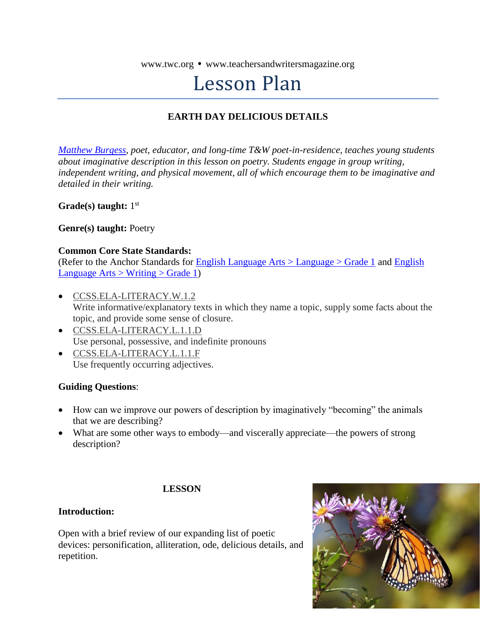www.twc.org • www.teachersandwritersmagazine.org

# Lesson Plan

#### **EARTH DAY DELICIOUS DETAILS**

*[Matthew Burgess,](http://www.brooklyn.cuny.edu/web/academics/faculty/faculty_profile.jsp?faculty=953) poet, educator, and long-time T&W poet-in-residence, teaches young students about imaginative description in this lesson on poetry. Students engage in group writing, independent writing, and physical movement, all of which encourage them to be imaginative and detailed in their writing.*

Grade(s) taught: 1<sup>st</sup>

**Genre(s) taught:** Poetry

#### **Common Core State Standards:**

(Refer to the Anchor Standards for [English Language Arts > Language > Grade 1](http://www.corestandards.org/ELA-Literacy/L/1/) and [English](http://www.corestandards.org/ELA-Literacy/W/1/)  [Language Arts > Writing > Grade 1\)](http://www.corestandards.org/ELA-Literacy/W/1/)

- [CCSS.ELA-LITERACY.W.1.2](http://www.corestandards.org/ELA-Literacy/W/1/2/) Write informative/explanatory texts in which they name a topic, supply some facts about the topic, and provide some sense of closure.
- [CCSS.ELA-LITERACY.L.1.1.D](http://www.corestandards.org/ELA-Literacy/L/1/1/d/) Use personal, possessive, and indefinite pronouns
- [CCSS.ELA-LITERACY.L.1.1.F](http://www.corestandards.org/ELA-Literacy/L/1/1/f/) Use frequently occurring adjectives.

#### **Guiding Questions**:

- How can we improve our powers of description by imaginatively "becoming" the animals that we are describing?
- What are some other ways to embody—and viscerally appreciate—the powers of strong description?

#### **LESSON**

#### **Introduction:**

Open with a brief review of our expanding list of poetic devices: personification, alliteration, ode, delicious details, and repetition.

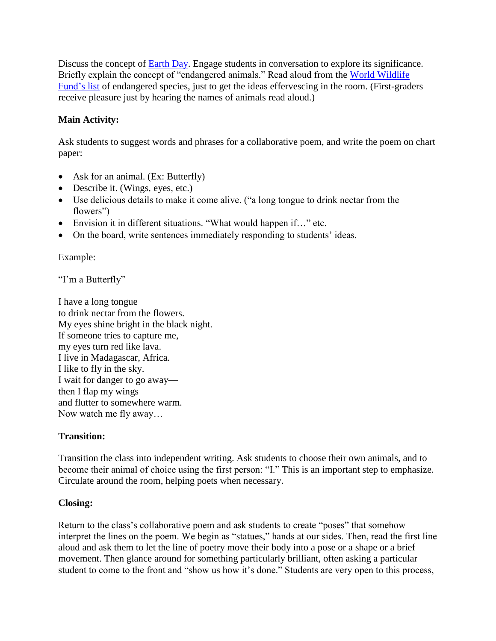Discuss the concept of [Earth Day.](http://www.earthday.org/earth-day-history-movement) Engage students in conversation to explore its significance. Briefly explain the concept of "endangered animals." Read aloud from the [World Wildlife](https://www.worldwildlife.org/species/directory?direction=desc&sort=extinction_status)  [Fund's list](https://www.worldwildlife.org/species/directory?direction=desc&sort=extinction_status) of endangered species, just to get the ideas effervescing in the room. (First-graders receive pleasure just by hearing the names of animals read aloud.)

# **Main Activity:**

Ask students to suggest words and phrases for a collaborative poem, and write the poem on chart paper:

- Ask for an animal. (Ex: Butterfly)
- Describe it. (Wings, eyes, etc.)
- Use delicious details to make it come alive. ("a long tongue to drink nectar from the flowers")
- Envision it in different situations. "What would happen if…" etc.
- On the board, write sentences immediately responding to students' ideas.

Example:

"I'm a Butterfly"

I have a long tongue to drink nectar from the flowers. My eyes shine bright in the black night. If someone tries to capture me, my eyes turn red like lava. I live in Madagascar, Africa. I like to fly in the sky. I wait for danger to go away then I flap my wings and flutter to somewhere warm. Now watch me fly away…

## **Transition:**

Transition the class into independent writing. Ask students to choose their own animals, and to become their animal of choice using the first person: "I." This is an important step to emphasize. Circulate around the room, helping poets when necessary.

## **Closing:**

Return to the class's collaborative poem and ask students to create "poses" that somehow interpret the lines on the poem. We begin as "statues," hands at our sides. Then, read the first line aloud and ask them to let the line of poetry move their body into a pose or a shape or a brief movement. Then glance around for something particularly brilliant, often asking a particular student to come to the front and "show us how it's done." Students are very open to this process,